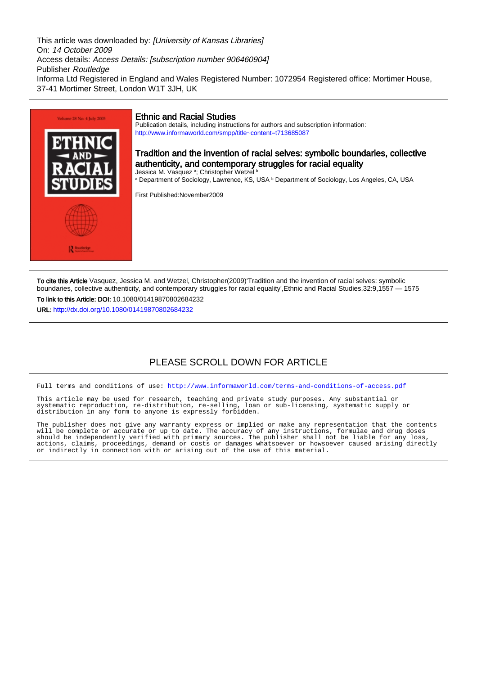This article was downloaded by: [University of Kansas Libraries] On: 14 October 2009 Access details: Access Details: [subscription number 906460904] Publisher Routledge Informa Ltd Registered in England and Wales Registered Number: 1072954 Registered office: Mortimer House, 37-41 Mortimer Street, London W1T 3JH, UK



To cite this Article Vasquez, Jessica M. and Wetzel, Christopher(2009)'Tradition and the invention of racial selves: symbolic boundaries, collective authenticity, and contemporary struggles for racial equality',Ethnic and Racial Studies,32:9,1557 — 1575

To link to this Article: DOI: 10.1080/01419870802684232

URL: <http://dx.doi.org/10.1080/01419870802684232>

# PLEASE SCROLL DOWN FOR ARTICLE

Full terms and conditions of use:<http://www.informaworld.com/terms-and-conditions-of-access.pdf>

This article may be used for research, teaching and private study purposes. Any substantial or systematic reproduction, re-distribution, re-selling, loan or sub-licensing, systematic supply or distribution in any form to anyone is expressly forbidden.

The publisher does not give any warranty express or implied or make any representation that the contents will be complete or accurate or up to date. The accuracy of any instructions, formulae and drug doses should be independently verified with primary sources. The publisher shall not be liable for any loss, actions, claims, proceedings, demand or costs or damages whatsoever or howsoever caused arising directly or indirectly in connection with or arising out of the use of this material.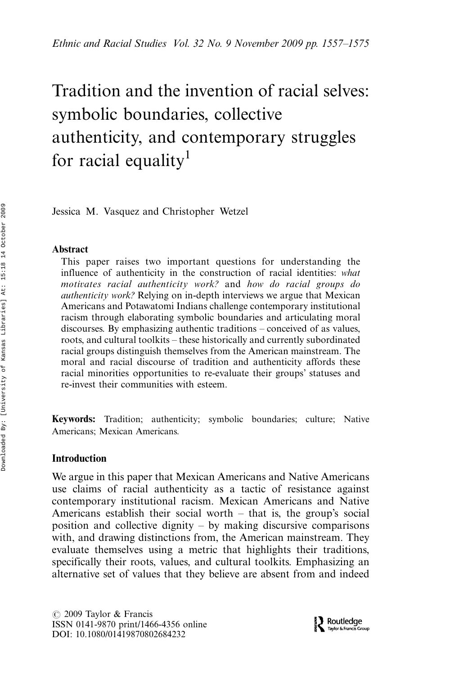# Tradition and the invention of racial selves: symbolic boundaries, collective authenticity, and contemporary struggles for racial equality<sup>1</sup>

Jessica M. Vasquez and Christopher Wetzel

### Abstract

This paper raises two important questions for understanding the influence of authenticity in the construction of racial identities: what motivates racial authenticity work? and how do racial groups do authenticity work? Relying on in-depth interviews we argue that Mexican Americans and Potawatomi Indians challenge contemporary institutional racism through elaborating symbolic boundaries and articulating moral discourses. By emphasizing authentic traditions  $-$  conceived of as values, roots, and cultural toolkits – these historically and currently subordinated racial groups distinguish themselves from the American mainstream. The moral and racial discourse of tradition and authenticity affords these racial minorities opportunities to re-evaluate their groups' statuses and re-invest their communities with esteem.

Keywords: Tradition; authenticity; symbolic boundaries; culture; Native Americans; Mexican Americans.

# Introduction

We argue in this paper that Mexican Americans and Native Americans use claims of racial authenticity as a tactic of resistance against contemporary institutional racism. Mexican Americans and Native Americans establish their social worth  $-$  that is, the group's social position and collective dignity  $-$  by making discursive comparisons with, and drawing distinctions from, the American mainstream. They evaluate themselves using a metric that highlights their traditions, specifically their roots, values, and cultural toolkits. Emphasizing an alternative set of values that they believe are absent from and indeed

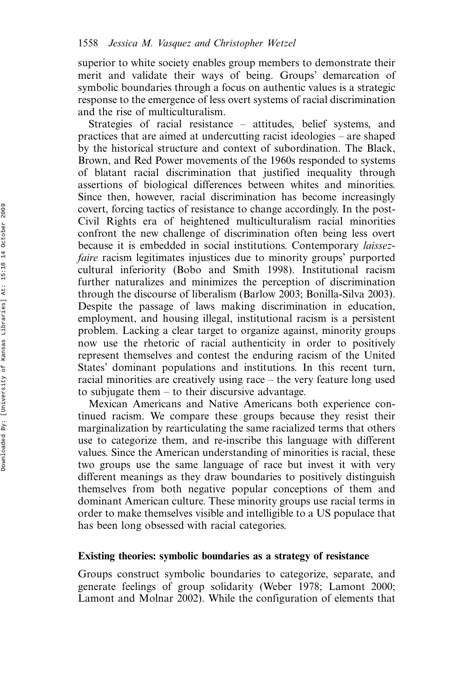superior to white society enables group members to demonstrate their merit and validate their ways of being. Groups' demarcation of symbolic boundaries through a focus on authentic values is a strategic response to the emergence of less overt systems of racial discrimination and the rise of multiculturalism.

Strategies of racial resistance – attitudes, belief systems, and practices that are aimed at undercutting racist ideologies  $-$  are shaped by the historical structure and context of subordination. The Black, Brown, and Red Power movements of the 1960s responded to systems of blatant racial discrimination that justified inequality through assertions of biological differences between whites and minorities. Since then, however, racial discrimination has become increasingly covert, forcing tactics of resistance to change accordingly. In the post-Civil Rights era of heightened multiculturalism racial minorities confront the new challenge of discrimination often being less overt because it is embedded in social institutions. Contemporary laissez*faire* racism legitimates injustices due to minority groups' purported cultural inferiority (Bobo and Smith 1998). Institutional racism further naturalizes and minimizes the perception of discrimination through the discourse of liberalism (Barlow 2003; Bonilla-Silva 2003). Despite the passage of laws making discrimination in education, employment, and housing illegal, institutional racism is a persistent problem. Lacking a clear target to organize against, minority groups now use the rhetoric of racial authenticity in order to positively represent themselves and contest the enduring racism of the United States' dominant populations and institutions. In this recent turn, racial minorities are creatively using race  $-$  the very feature long used to subjugate them  $-$  to their discursive advantage.

Mexican Americans and Native Americans both experience continued racism. We compare these groups because they resist their marginalization by rearticulating the same racialized terms that others use to categorize them, and re-inscribe this language with different values. Since the American understanding of minorities is racial, these two groups use the same language of race but invest it with very different meanings as they draw boundaries to positively distinguish themselves from both negative popular conceptions of them and dominant American culture. These minority groups use racial terms in order to make themselves visible and intelligible to a US populace that has been long obsessed with racial categories.

### Existing theories: symbolic boundaries as a strategy of resistance

Groups construct symbolic boundaries to categorize, separate, and generate feelings of group solidarity (Weber 1978; Lamont 2000; Lamont and Molnar 2002). While the configuration of elements that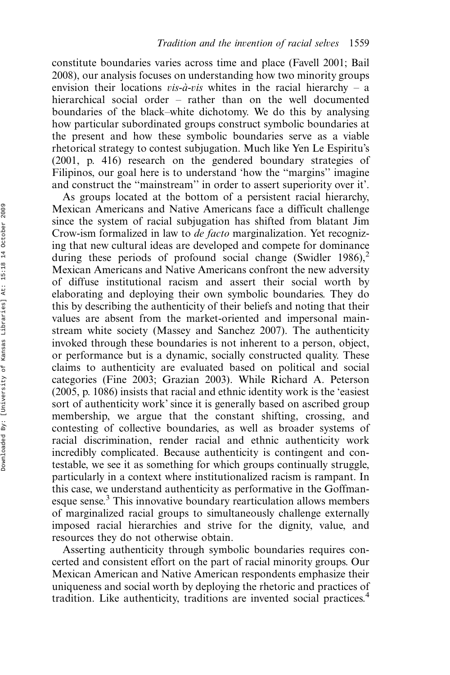constitute boundaries varies across time and place (Favell 2001; Bail 2008), our analysis focuses on understanding how two minority groups envision their locations *vis-à-vis* whites in the racial hierarchy – a hierarchical social order – rather than on the well documented boundaries of the black-white dichotomy. We do this by analysing how particular subordinated groups construct symbolic boundaries at the present and how these symbolic boundaries serve as a viable rhetorical strategy to contest subjugation. Much like Yen Le Espiritu's (2001, p. 416) research on the gendered boundary strategies of Filipinos, our goal here is to understand 'how the ''margins'' imagine and construct the ''mainstream'' in order to assert superiority over it'.

As groups located at the bottom of a persistent racial hierarchy, Mexican Americans and Native Americans face a difficult challenge since the system of racial subjugation has shifted from blatant Jim Crow-ism formalized in law to de facto marginalization. Yet recognizing that new cultural ideas are developed and compete for dominance during these periods of profound social change (Swidler 1986),<sup>2</sup> Mexican Americans and Native Americans confront the new adversity of diffuse institutional racism and assert their social worth by elaborating and deploying their own symbolic boundaries. They do this by describing the authenticity of their beliefs and noting that their values are absent from the market-oriented and impersonal mainstream white society (Massey and Sanchez 2007). The authenticity invoked through these boundaries is not inherent to a person, object, or performance but is a dynamic, socially constructed quality. These claims to authenticity are evaluated based on political and social categories (Fine 2003; Grazian 2003). While Richard A. Peterson (2005, p. 1086) insists that racial and ethnic identity work is the 'easiest sort of authenticity work' since it is generally based on ascribed group membership, we argue that the constant shifting, crossing, and contesting of collective boundaries, as well as broader systems of racial discrimination, render racial and ethnic authenticity work incredibly complicated. Because authenticity is contingent and contestable, we see it as something for which groups continually struggle, particularly in a context where institutionalized racism is rampant. In this case, we understand authenticity as performative in the Goffmanesque sense.<sup>3</sup> This innovative boundary rearticulation allows members of marginalized racial groups to simultaneously challenge externally imposed racial hierarchies and strive for the dignity, value, and resources they do not otherwise obtain.

Asserting authenticity through symbolic boundaries requires concerted and consistent effort on the part of racial minority groups. Our Mexican American and Native American respondents emphasize their uniqueness and social worth by deploying the rhetoric and practices of tradition. Like authenticity, traditions are invented social practices.<sup>4</sup>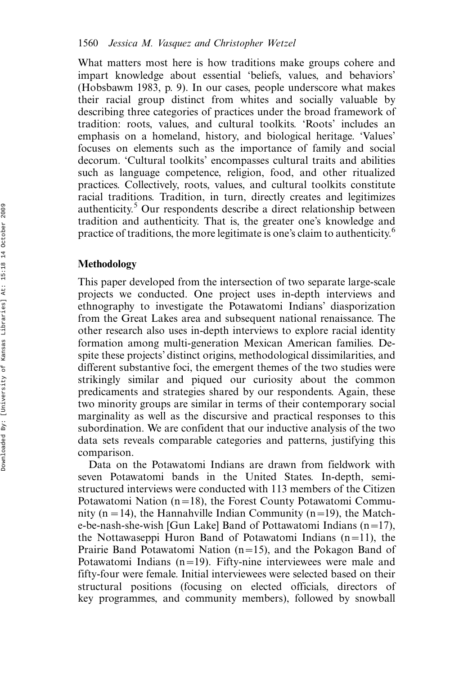What matters most here is how traditions make groups cohere and impart knowledge about essential 'beliefs, values, and behaviors' (Hobsbawm 1983, p. 9). In our cases, people underscore what makes their racial group distinct from whites and socially valuable by describing three categories of practices under the broad framework of tradition: roots, values, and cultural toolkits. 'Roots' includes an emphasis on a homeland, history, and biological heritage. 'Values' focuses on elements such as the importance of family and social decorum. 'Cultural toolkits' encompasses cultural traits and abilities such as language competence, religion, food, and other ritualized practices. Collectively, roots, values, and cultural toolkits constitute racial traditions. Tradition, in turn, directly creates and legitimizes authenticity.<sup>5</sup> Our respondents describe a direct relationship between tradition and authenticity. That is, the greater one's knowledge and practice of traditions, the more legitimate is one's claim to authenticity.<sup>6</sup>

# Methodology

This paper developed from the intersection of two separate large-scale projects we conducted. One project uses in-depth interviews and ethnography to investigate the Potawatomi Indians' diasporization from the Great Lakes area and subsequent national renaissance. The other research also uses in-depth interviews to explore racial identity formation among multi-generation Mexican American families. Despite these projects' distinct origins, methodological dissimilarities, and different substantive foci, the emergent themes of the two studies were strikingly similar and piqued our curiosity about the common predicaments and strategies shared by our respondents. Again, these two minority groups are similar in terms of their contemporary social marginality as well as the discursive and practical responses to this subordination. We are confident that our inductive analysis of the two data sets reveals comparable categories and patterns, justifying this comparison.

Data on the Potawatomi Indians are drawn from fieldwork with seven Potawatomi bands in the United States. In-depth, semistructured interviews were conducted with 113 members of the Citizen Potawatomi Nation (n=18), the Forest County Potawatomi Community (n = 14), the Hannahville Indian Community (n=19), the Matche-be-nash-she-wish [Gun Lake] Band of Pottawatomi Indians (n-17), the Nottawaseppi Huron Band of Potawatomi Indians (n-11), the Prairie Band Potawatomi Nation (n=15), and the Pokagon Band of Potawatomi Indians (n=19). Fifty-nine interviewees were male and fifty-four were female. Initial interviewees were selected based on their structural positions (focusing on elected officials, directors of key programmes, and community members), followed by snowball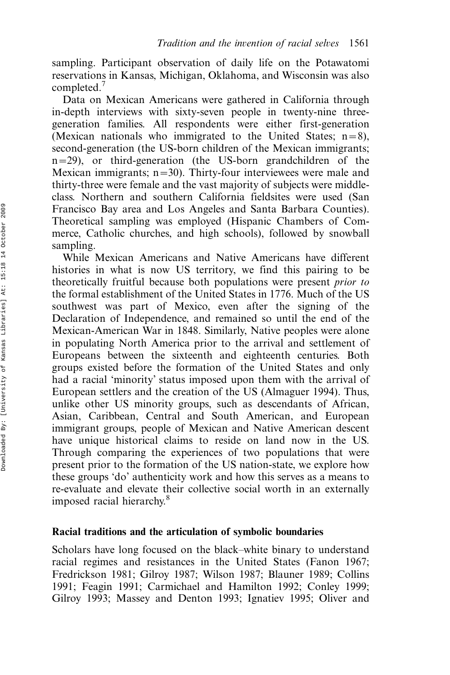sampling. Participant observation of daily life on the Potawatomi reservations in Kansas, Michigan, Oklahoma, and Wisconsin was also completed.<sup>7</sup>

Data on Mexican Americans were gathered in California through in-depth interviews with sixty-seven people in twenty-nine threegeneration families. All respondents were either first-generation (Mexican nationals who immigrated to the United States;  $n=8$ ), second-generation (the US-born children of the Mexican immigrants; n-29), or third-generation (the US-born grandchildren of the Mexican immigrants; n-30). Thirty-four interviewees were male and thirty-three were female and the vast majority of subjects were middleclass. Northern and southern California fieldsites were used (San Francisco Bay area and Los Angeles and Santa Barbara Counties). Theoretical sampling was employed (Hispanic Chambers of Commerce, Catholic churches, and high schools), followed by snowball sampling.

While Mexican Americans and Native Americans have different histories in what is now US territory, we find this pairing to be theoretically fruitful because both populations were present prior to the formal establishment of the United States in 1776. Much of the US southwest was part of Mexico, even after the signing of the Declaration of Independence, and remained so until the end of the Mexican-American War in 1848. Similarly, Native peoples were alone in populating North America prior to the arrival and settlement of Europeans between the sixteenth and eighteenth centuries. Both groups existed before the formation of the United States and only had a racial 'minority' status imposed upon them with the arrival of European settlers and the creation of the US (Almaguer 1994). Thus, unlike other US minority groups, such as descendants of African, Asian, Caribbean, Central and South American, and European immigrant groups, people of Mexican and Native American descent have unique historical claims to reside on land now in the US. Through comparing the experiences of two populations that were present prior to the formation of the US nation-state, we explore how these groups 'do' authenticity work and how this serves as a means to re-evaluate and elevate their collective social worth in an externally imposed racial hierarchy.<sup>8</sup>

## Racial traditions and the articulation of symbolic boundaries

Scholars have long focused on the black–white binary to understand racial regimes and resistances in the United States (Fanon 1967; Fredrickson 1981; Gilroy 1987; Wilson 1987; Blauner 1989; Collins 1991; Feagin 1991; Carmichael and Hamilton 1992; Conley 1999; Gilroy 1993; Massey and Denton 1993; Ignatiev 1995; Oliver and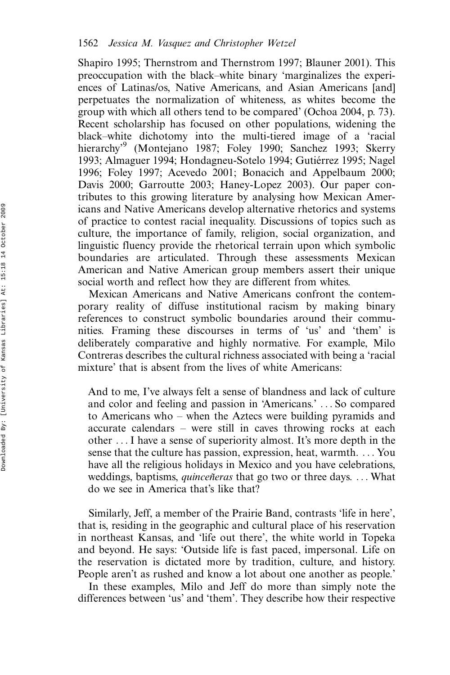Shapiro 1995; Thernstrom and Thernstrom 1997; Blauner 2001). This preoccupation with the black-white binary 'marginalizes the experiences of Latinas/os, Native Americans, and Asian Americans [and] perpetuates the normalization of whiteness, as whites become the group with which all others tend to be compared' (Ochoa 2004, p. 73). Recent scholarship has focused on other populations, widening the black-white dichotomy into the multi-tiered image of a 'racial hierarchy<sup>9</sup> (Montejano 1987; Foley 1990; Sanchez 1993; Skerry 1993; Almaguer 1994; Hondagneu-Sotelo 1994; Gutiérrez 1995; Nagel 1996; Foley 1997; Acevedo 2001; Bonacich and Appelbaum 2000; Davis 2000; Garroutte 2003; Haney-Lopez 2003). Our paper contributes to this growing literature by analysing how Mexican Americans and Native Americans develop alternative rhetorics and systems of practice to contest racial inequality. Discussions of topics such as culture, the importance of family, religion, social organization, and linguistic fluency provide the rhetorical terrain upon which symbolic boundaries are articulated. Through these assessments Mexican American and Native American group members assert their unique social worth and reflect how they are different from whites.

Mexican Americans and Native Americans confront the contemporary reality of diffuse institutional racism by making binary references to construct symbolic boundaries around their communities. Framing these discourses in terms of 'us' and 'them' is deliberately comparative and highly normative. For example, Milo Contreras describes the cultural richness associated with being a 'racial mixture' that is absent from the lives of white Americans:

And to me, I've always felt a sense of blandness and lack of culture and color and feeling and passion in 'Americans.' ... So compared to Americans who  $-$  when the Aztecs were building pyramids and  $accurate$  calendars – were still in caves throwing rocks at each other ... I have a sense of superiority almost. It's more depth in the sense that the culture has passion, expression, heat, warmth. ... You have all the religious holidays in Mexico and you have celebrations, weddings, baptisms, *quinceñeras* that go two or three days. ... What do we see in America that's like that?

Similarly, Jeff, a member of the Prairie Band, contrasts 'life in here', that is, residing in the geographic and cultural place of his reservation in northeast Kansas, and 'life out there', the white world in Topeka and beyond. He says: 'Outside life is fast paced, impersonal. Life on the reservation is dictated more by tradition, culture, and history. People aren't as rushed and know a lot about one another as people.'

In these examples, Milo and Jeff do more than simply note the differences between 'us' and 'them'. They describe how their respective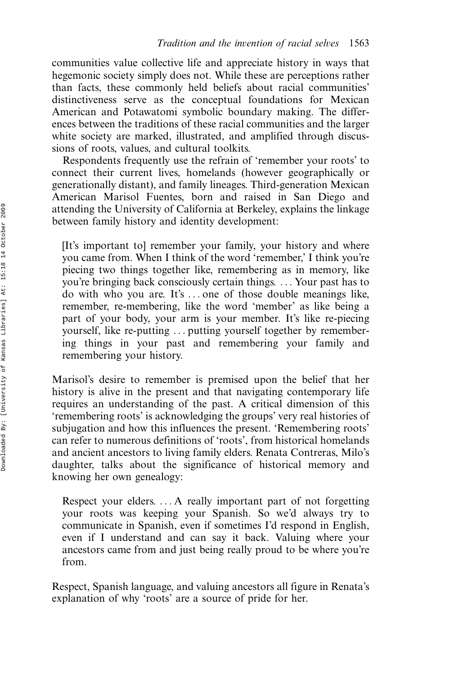communities value collective life and appreciate history in ways that hegemonic society simply does not. While these are perceptions rather than facts, these commonly held beliefs about racial communities' distinctiveness serve as the conceptual foundations for Mexican American and Potawatomi symbolic boundary making. The differences between the traditions of these racial communities and the larger white society are marked, illustrated, and amplified through discussions of roots, values, and cultural toolkits.

Respondents frequently use the refrain of 'remember your roots' to connect their current lives, homelands (however geographically or generationally distant), and family lineages. Third-generation Mexican American Marisol Fuentes, born and raised in San Diego and attending the University of California at Berkeley, explains the linkage between family history and identity development:

[It's important to] remember your family, your history and where you came from. When I think of the word 'remember,' I think you're piecing two things together like, remembering as in memory, like you're bringing back consciously certain things. ... Your past has to do with who you are. It's ... one of those double meanings like, remember, re-membering, like the word 'member' as like being a part of your body, your arm is your member. It's like re-piecing yourself, like re-putting ... putting yourself together by remembering things in your past and remembering your family and remembering your history.

Marisol's desire to remember is premised upon the belief that her history is alive in the present and that navigating contemporary life requires an understanding of the past. A critical dimension of this 'remembering roots' is acknowledging the groups' very real histories of subjugation and how this influences the present. 'Remembering roots' can refer to numerous definitions of 'roots', from historical homelands and ancient ancestors to living family elders. Renata Contreras, Milo's daughter, talks about the significance of historical memory and knowing her own genealogy:

Respect your elders. ... A really important part of not forgetting your roots was keeping your Spanish. So we'd always try to communicate in Spanish, even if sometimes I'd respond in English, even if I understand and can say it back. Valuing where your ancestors came from and just being really proud to be where you're from.

Respect, Spanish language, and valuing ancestors all figure in Renata's explanation of why 'roots' are a source of pride for her.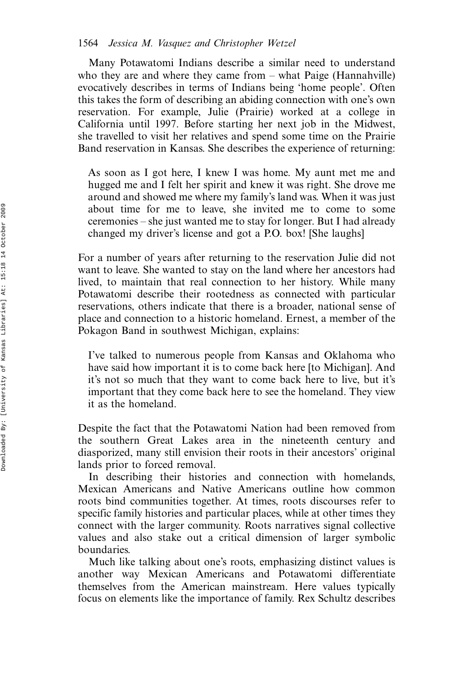#### 1564 Jessica M. Vasquez and Christopher Wetzel

Many Potawatomi Indians describe a similar need to understand who they are and where they came from  $-$  what Paige (Hannahville) evocatively describes in terms of Indians being 'home people'. Often this takes the form of describing an abiding connection with one's own reservation. For example, Julie (Prairie) worked at a college in California until 1997. Before starting her next job in the Midwest, she travelled to visit her relatives and spend some time on the Prairie Band reservation in Kansas. She describes the experience of returning:

As soon as I got here, I knew I was home. My aunt met me and hugged me and I felt her spirit and knew it was right. She drove me around and showed me where my family's land was. When it was just about time for me to leave, she invited me to come to some ceremonies – she just wanted me to stay for longer. But I had already changed my driver's license and got a P.O. box! [She laughs]

For a number of years after returning to the reservation Julie did not want to leave. She wanted to stay on the land where her ancestors had lived, to maintain that real connection to her history. While many Potawatomi describe their rootedness as connected with particular reservations, others indicate that there is a broader, national sense of place and connection to a historic homeland. Ernest, a member of the Pokagon Band in southwest Michigan, explains:

I've talked to numerous people from Kansas and Oklahoma who have said how important it is to come back here [to Michigan]. And it's not so much that they want to come back here to live, but it's important that they come back here to see the homeland. They view it as the homeland.

Despite the fact that the Potawatomi Nation had been removed from the southern Great Lakes area in the nineteenth century and diasporized, many still envision their roots in their ancestors' original lands prior to forced removal.

In describing their histories and connection with homelands, Mexican Americans and Native Americans outline how common roots bind communities together. At times, roots discourses refer to specific family histories and particular places, while at other times they connect with the larger community. Roots narratives signal collective values and also stake out a critical dimension of larger symbolic boundaries.

Much like talking about one's roots, emphasizing distinct values is another way Mexican Americans and Potawatomi differentiate themselves from the American mainstream. Here values typically focus on elements like the importance of family. Rex Schultz describes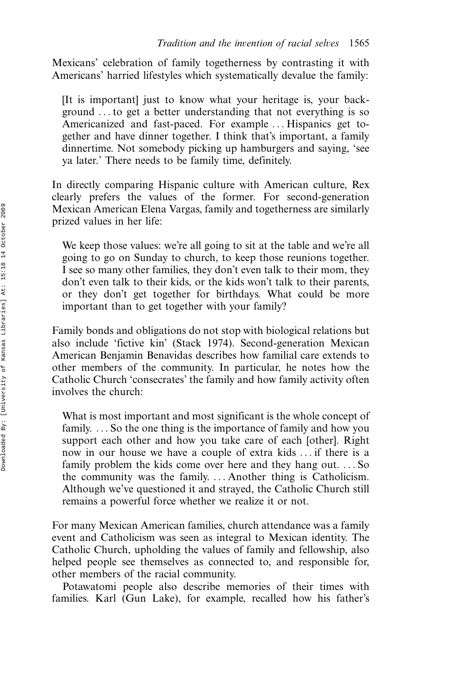Mexicans' celebration of family togetherness by contrasting it with Americans' harried lifestyles which systematically devalue the family:

[It is important] just to know what your heritage is, your background ... to get a better understanding that not everything is so Americanized and fast-paced. For example ... Hispanics get together and have dinner together. I think that's important, a family dinnertime. Not somebody picking up hamburgers and saying, 'see ya later.' There needs to be family time, definitely.

In directly comparing Hispanic culture with American culture, Rex clearly prefers the values of the former. For second-generation Mexican American Elena Vargas, family and togetherness are similarly prized values in her life:

We keep those values: we're all going to sit at the table and we're all going to go on Sunday to church, to keep those reunions together. I see so many other families, they don't even talk to their mom, they don't even talk to their kids, or the kids won't talk to their parents, or they don't get together for birthdays. What could be more important than to get together with your family?

Family bonds and obligations do not stop with biological relations but also include 'fictive kin' (Stack 1974). Second-generation Mexican American Benjamin Benavidas describes how familial care extends to other members of the community. In particular, he notes how the Catholic Church 'consecrates' the family and how family activity often involves the church:

What is most important and most significant is the whole concept of family. ... So the one thing is the importance of family and how you support each other and how you take care of each [other]. Right now in our house we have a couple of extra kids ... if there is a family problem the kids come over here and they hang out. ... So the community was the family. ... Another thing is Catholicism. Although we've questioned it and strayed, the Catholic Church still remains a powerful force whether we realize it or not.

For many Mexican American families, church attendance was a family event and Catholicism was seen as integral to Mexican identity. The Catholic Church, upholding the values of family and fellowship, also helped people see themselves as connected to, and responsible for, other members of the racial community.

Potawatomi people also describe memories of their times with families. Karl (Gun Lake), for example, recalled how his father's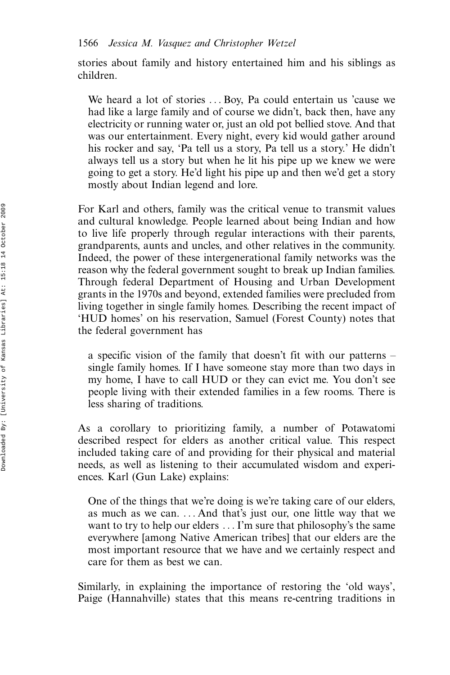stories about family and history entertained him and his siblings as children.

We heard a lot of stories ... Boy, Pa could entertain us 'cause we had like a large family and of course we didn't, back then, have any electricity or running water or, just an old pot bellied stove. And that was our entertainment. Every night, every kid would gather around his rocker and say, 'Pa tell us a story, Pa tell us a story.' He didn't always tell us a story but when he lit his pipe up we knew we were going to get a story. He'd light his pipe up and then we'd get a story mostly about Indian legend and lore.

For Karl and others, family was the critical venue to transmit values and cultural knowledge. People learned about being Indian and how to live life properly through regular interactions with their parents, grandparents, aunts and uncles, and other relatives in the community. Indeed, the power of these intergenerational family networks was the reason why the federal government sought to break up Indian families. Through federal Department of Housing and Urban Development grants in the 1970s and beyond, extended families were precluded from living together in single family homes. Describing the recent impact of 'HUD homes' on his reservation, Samuel (Forest County) notes that the federal government has

a specific vision of the family that doesn't fit with our patterns single family homes. If I have someone stay more than two days in my home, I have to call HUD or they can evict me. You don't see people living with their extended families in a few rooms. There is less sharing of traditions.

As a corollary to prioritizing family, a number of Potawatomi described respect for elders as another critical value. This respect included taking care of and providing for their physical and material needs, as well as listening to their accumulated wisdom and experiences. Karl (Gun Lake) explains:

One of the things that we're doing is we're taking care of our elders, as much as we can. ... And that's just our, one little way that we want to try to help our elders ... I'm sure that philosophy's the same everywhere [among Native American tribes] that our elders are the most important resource that we have and we certainly respect and care for them as best we can.

Similarly, in explaining the importance of restoring the 'old ways', Paige (Hannahville) states that this means re-centring traditions in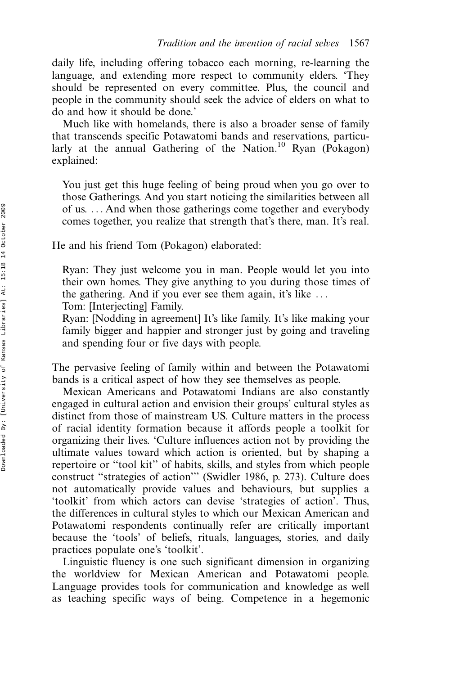daily life, including offering tobacco each morning, re-learning the language, and extending more respect to community elders. 'They should be represented on every committee. Plus, the council and people in the community should seek the advice of elders on what to do and how it should be done.'

Much like with homelands, there is also a broader sense of family that transcends specific Potawatomi bands and reservations, particularly at the annual Gathering of the Nation.<sup>10</sup> Ryan (Pokagon) explained:

You just get this huge feeling of being proud when you go over to those Gatherings. And you start noticing the similarities between all of us. ... And when those gatherings come together and everybody comes together, you realize that strength that's there, man. It's real.

He and his friend Tom (Pokagon) elaborated:

Ryan: They just welcome you in man. People would let you into their own homes. They give anything to you during those times of the gathering. And if you ever see them again, it's like ...

Tom: [Interjecting] Family.

Ryan: [Nodding in agreement] It's like family. It's like making your family bigger and happier and stronger just by going and traveling and spending four or five days with people.

The pervasive feeling of family within and between the Potawatomi bands is a critical aspect of how they see themselves as people.

Mexican Americans and Potawatomi Indians are also constantly engaged in cultural action and envision their groups' cultural styles as distinct from those of mainstream US. Culture matters in the process of racial identity formation because it affords people a toolkit for organizing their lives. 'Culture influences action not by providing the ultimate values toward which action is oriented, but by shaping a repertoire or ''tool kit'' of habits, skills, and styles from which people construct ''strategies of action''' (Swidler 1986, p. 273). Culture does not automatically provide values and behaviours, but supplies a 'toolkit' from which actors can devise 'strategies of action'. Thus, the differences in cultural styles to which our Mexican American and Potawatomi respondents continually refer are critically important because the 'tools' of beliefs, rituals, languages, stories, and daily practices populate one's 'toolkit'.

Linguistic fluency is one such significant dimension in organizing the worldview for Mexican American and Potawatomi people. Language provides tools for communication and knowledge as well as teaching specific ways of being. Competence in a hegemonic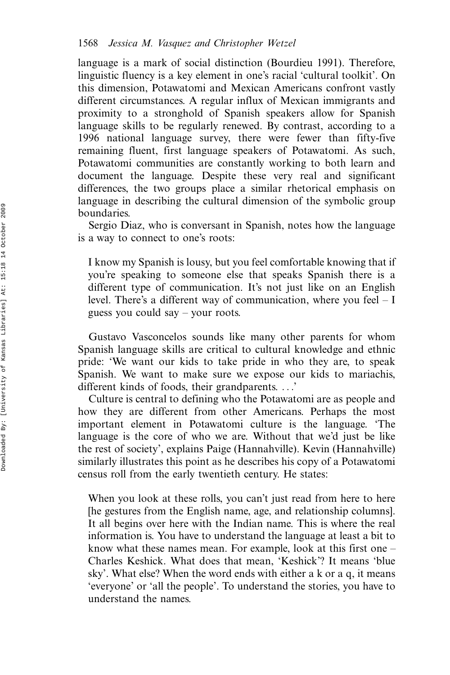language is a mark of social distinction (Bourdieu 1991). Therefore, linguistic fluency is a key element in one's racial 'cultural toolkit'. On this dimension, Potawatomi and Mexican Americans confront vastly different circumstances. A regular influx of Mexican immigrants and proximity to a stronghold of Spanish speakers allow for Spanish language skills to be regularly renewed. By contrast, according to a 1996 national language survey, there were fewer than fifty-five remaining fluent, first language speakers of Potawatomi. As such, Potawatomi communities are constantly working to both learn and document the language. Despite these very real and significant differences, the two groups place a similar rhetorical emphasis on language in describing the cultural dimension of the symbolic group boundaries.

Sergio Diaz, who is conversant in Spanish, notes how the language is a way to connect to one's roots:

I know my Spanish is lousy, but you feel comfortable knowing that if you're speaking to someone else that speaks Spanish there is a different type of communication. It's not just like on an English level. There's a different way of communication, where you feel  $- I$ guess you could say  $-$  your roots.

Gustavo Vasconcelos sounds like many other parents for whom Spanish language skills are critical to cultural knowledge and ethnic pride: 'We want our kids to take pride in who they are, to speak Spanish. We want to make sure we expose our kids to mariachis, different kinds of foods, their grandparents....'

Culture is central to defining who the Potawatomi are as people and how they are different from other Americans. Perhaps the most important element in Potawatomi culture is the language. 'The language is the core of who we are. Without that we'd just be like the rest of society', explains Paige (Hannahville). Kevin (Hannahville) similarly illustrates this point as he describes his copy of a Potawatomi census roll from the early twentieth century. He states:

When you look at these rolls, you can't just read from here to here [he gestures from the English name, age, and relationship columns]. It all begins over here with the Indian name. This is where the real information is. You have to understand the language at least a bit to know what these names mean. For example, look at this first one – Charles Keshick. What does that mean, 'Keshick'? It means 'blue sky'. What else? When the word ends with either a k or a q, it means 'everyone' or 'all the people'. To understand the stories, you have to understand the names.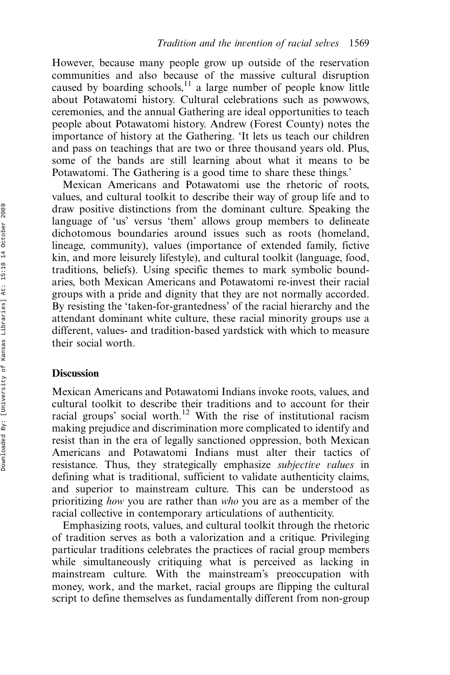However, because many people grow up outside of the reservation communities and also because of the massive cultural disruption caused by boarding schools, $^{11}$  a large number of people know little about Potawatomi history. Cultural celebrations such as powwows, ceremonies, and the annual Gathering are ideal opportunities to teach people about Potawatomi history. Andrew (Forest County) notes the importance of history at the Gathering. 'It lets us teach our children and pass on teachings that are two or three thousand years old. Plus, some of the bands are still learning about what it means to be Potawatomi. The Gathering is a good time to share these things.'

Mexican Americans and Potawatomi use the rhetoric of roots, values, and cultural toolkit to describe their way of group life and to draw positive distinctions from the dominant culture. Speaking the language of 'us' versus 'them' allows group members to delineate dichotomous boundaries around issues such as roots (homeland, lineage, community), values (importance of extended family, fictive kin, and more leisurely lifestyle), and cultural toolkit (language, food, traditions, beliefs). Using specific themes to mark symbolic boundaries, both Mexican Americans and Potawatomi re-invest their racial groups with a pride and dignity that they are not normally accorded. By resisting the 'taken-for-grantedness' of the racial hierarchy and the attendant dominant white culture, these racial minority groups use a different, values- and tradition-based yardstick with which to measure their social worth.

### **Discussion**

Mexican Americans and Potawatomi Indians invoke roots, values, and cultural toolkit to describe their traditions and to account for their racial groups' social worth.<sup>12</sup> With the rise of institutional racism making prejudice and discrimination more complicated to identify and resist than in the era of legally sanctioned oppression, both Mexican Americans and Potawatomi Indians must alter their tactics of resistance. Thus, they strategically emphasize subjective values in defining what is traditional, sufficient to validate authenticity claims, and superior to mainstream culture. This can be understood as prioritizing how you are rather than who you are as a member of the racial collective in contemporary articulations of authenticity.

Emphasizing roots, values, and cultural toolkit through the rhetoric of tradition serves as both a valorization and a critique. Privileging particular traditions celebrates the practices of racial group members while simultaneously critiquing what is perceived as lacking in mainstream culture. With the mainstream's preoccupation with money, work, and the market, racial groups are flipping the cultural script to define themselves as fundamentally different from non-group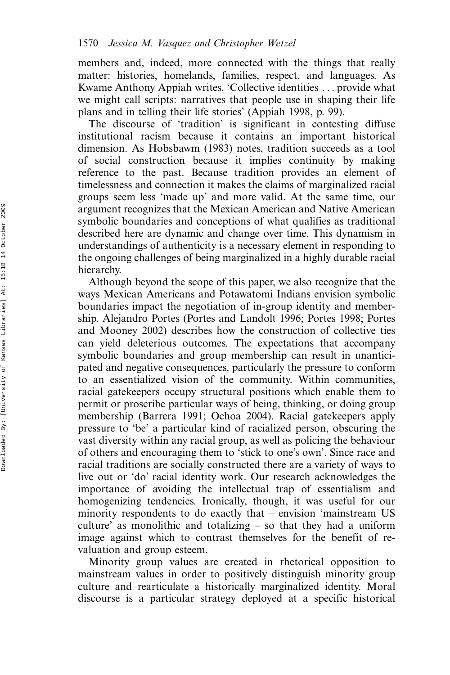members and, indeed, more connected with the things that really matter: histories, homelands, families, respect, and languages. As Kwame Anthony Appiah writes, 'Collective identities ... provide what we might call scripts: narratives that people use in shaping their life plans and in telling their life stories' (Appiah 1998, p. 99).

The discourse of 'tradition' is significant in contesting diffuse institutional racism because it contains an important historical dimension. As Hobsbawm (1983) notes, tradition succeeds as a tool of social construction because it implies continuity by making reference to the past. Because tradition provides an element of timelessness and connection it makes the claims of marginalized racial groups seem less 'made up' and more valid. At the same time, our argument recognizes that the Mexican American and Native American symbolic boundaries and conceptions of what qualifies as traditional described here are dynamic and change over time. This dynamism in understandings of authenticity is a necessary element in responding to the ongoing challenges of being marginalized in a highly durable racial hierarchy.

Although beyond the scope of this paper, we also recognize that the ways Mexican Americans and Potawatomi Indians envision symbolic boundaries impact the negotiation of in-group identity and membership. Alejandro Portes (Portes and Landolt 1996; Portes 1998; Portes and Mooney 2002) describes how the construction of collective ties can yield deleterious outcomes. The expectations that accompany symbolic boundaries and group membership can result in unanticipated and negative consequences, particularly the pressure to conform to an essentialized vision of the community. Within communities, racial gatekeepers occupy structural positions which enable them to permit or proscribe particular ways of being, thinking, or doing group membership (Barrera 1991; Ochoa 2004). Racial gatekeepers apply pressure to 'be' a particular kind of racialized person, obscuring the vast diversity within any racial group, as well as policing the behaviour of others and encouraging them to 'stick to one's own'. Since race and racial traditions are socially constructed there are a variety of ways to live out or 'do' racial identity work. Our research acknowledges the importance of avoiding the intellectual trap of essentialism and homogenizing tendencies. Ironically, though, it was useful for our minority respondents to do exactly that  $-$  envision 'mainstream US culture' as monolithic and totalizing  $-$  so that they had a uniform image against which to contrast themselves for the benefit of revaluation and group esteem.

Minority group values are created in rhetorical opposition to mainstream values in order to positively distinguish minority group culture and rearticulate a historically marginalized identity. Moral discourse is a particular strategy deployed at a specific historical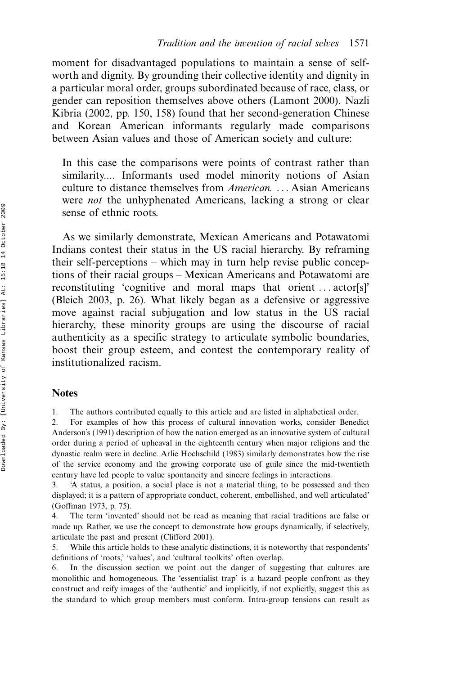moment for disadvantaged populations to maintain a sense of selfworth and dignity. By grounding their collective identity and dignity in a particular moral order, groups subordinated because of race, class, or gender can reposition themselves above others (Lamont 2000). Nazli Kibria (2002, pp. 150, 158) found that her second-generation Chinese and Korean American informants regularly made comparisons between Asian values and those of American society and culture:

In this case the comparisons were points of contrast rather than similarity.... Informants used model minority notions of Asian culture to distance themselves from American. ... Asian Americans were *not* the unhyphenated Americans, lacking a strong or clear sense of ethnic roots.

As we similarly demonstrate, Mexican Americans and Potawatomi Indians contest their status in the US racial hierarchy. By reframing their self-perceptions which may in turn help revise public conceptions of their racial groups – Mexican Americans and Potawatomi are reconstituting 'cognitive and moral maps that orient ... actor[s]' (Bleich 2003, p. 26). What likely began as a defensive or aggressive move against racial subjugation and low status in the US racial hierarchy, these minority groups are using the discourse of racial authenticity as a specific strategy to articulate symbolic boundaries, boost their group esteem, and contest the contemporary reality of institutionalized racism.

#### **Notes**

1. The authors contributed equally to this article and are listed in alphabetical order.

2. For examples of how this process of cultural innovation works, consider Benedict Anderson's (1991) description of how the nation emerged as an innovative system of cultural order during a period of upheaval in the eighteenth century when major religions and the dynastic realm were in decline. Arlie Hochschild (1983) similarly demonstrates how the rise of the service economy and the growing corporate use of guile since the mid-twentieth century have led people to value spontaneity and sincere feelings in interactions.

3. 'A status, a position, a social place is not a material thing, to be possessed and then displayed; it is a pattern of appropriate conduct, coherent, embellished, and well articulated' (Goffman 1973, p. 75).

4. The term 'invented' should not be read as meaning that racial traditions are false or made up. Rather, we use the concept to demonstrate how groups dynamically, if selectively, articulate the past and present (Clifford 2001).

5. While this article holds to these analytic distinctions, it is noteworthy that respondents' definitions of 'roots,' 'values', and 'cultural toolkits' often overlap.

6. In the discussion section we point out the danger of suggesting that cultures are monolithic and homogeneous. The 'essentialist trap' is a hazard people confront as they construct and reify images of the 'authentic' and implicitly, if not explicitly, suggest this as the standard to which group members must conform. Intra-group tensions can result as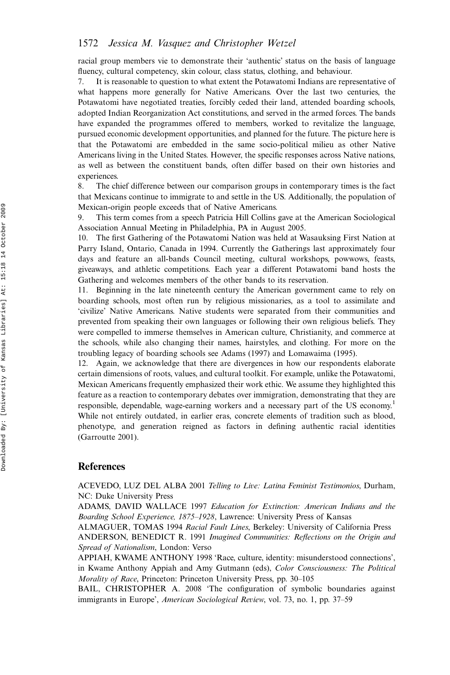#### 1572 Jessica M. Vasquez and Christopher Wetzel

racial group members vie to demonstrate their 'authentic' status on the basis of language fluency, cultural competency, skin colour, class status, clothing, and behaviour.

7. It is reasonable to question to what extent the Potawatomi Indians are representative of what happens more generally for Native Americans. Over the last two centuries, the Potawatomi have negotiated treaties, forcibly ceded their land, attended boarding schools, adopted Indian Reorganization Act constitutions, and served in the armed forces. The bands have expanded the programmes offered to members, worked to revitalize the language, pursued economic development opportunities, and planned for the future. The picture here is that the Potawatomi are embedded in the same socio-political milieu as other Native Americans living in the United States. However, the specific responses across Native nations, as well as between the constituent bands, often differ based on their own histories and experiences.

8. The chief difference between our comparison groups in contemporary times is the fact that Mexicans continue to immigrate to and settle in the US. Additionally, the population of Mexican-origin people exceeds that of Native Americans.

9. This term comes from a speech Patricia Hill Collins gave at the American Sociological Association Annual Meeting in Philadelphia, PA in August 2005.

10. The first Gathering of the Potawatomi Nation was held at Wasauksing First Nation at Parry Island, Ontario, Canada in 1994. Currently the Gatherings last approximately four days and feature an all-bands Council meeting, cultural workshops, powwows, feasts, giveaways, and athletic competitions. Each year a different Potawatomi band hosts the Gathering and welcomes members of the other bands to its reservation.

11. Beginning in the late nineteenth century the American government came to rely on boarding schools, most often run by religious missionaries, as a tool to assimilate and 'civilize' Native Americans. Native students were separated from their communities and prevented from speaking their own languages or following their own religious beliefs. They were compelled to immerse themselves in American culture, Christianity, and commerce at the schools, while also changing their names, hairstyles, and clothing. For more on the troubling legacy of boarding schools see Adams (1997) and Lomawaima (1995).

12. Again, we acknowledge that there are divergences in how our respondents elaborate certain dimensions of roots, values, and cultural toolkit. For example, unlike the Potawatomi, Mexican Americans frequently emphasized their work ethic. We assume they highlighted this feature as a reaction to contemporary debates over immigration, demonstrating that they are responsible, dependable, wage-earning workers and a necessary part of the US economy.<sup>1</sup> While not entirely outdated, in earlier eras, concrete elements of tradition such as blood, phenotype, and generation reigned as factors in defining authentic racial identities (Garroutte 2001).

#### References

ACEVEDO, LUZ DEL ALBA 2001 Telling to Live: Latina Feminist Testimonios, Durham, NC: Duke University Press

ADAMS, DAVID WALLACE 1997 Education for Extinction: American Indians and the Boarding School Experience, 1875-1928, Lawrence: University Press of Kansas

ALMAGUER, TOMAS 1994 Racial Fault Lines, Berkeley: University of California Press ANDERSON, BENEDICT R. 1991 Imagined Communities: Reflections on the Origin and Spread of Nationalism, London: Verso

APPIAH, KWAME ANTHONY 1998 'Race, culture, identity: misunderstood connections', in Kwame Anthony Appiah and Amy Gutmann (eds), Color Consciousness: The Political Morality of Race, Princeton: Princeton University Press, pp. 30–105

BAIL, CHRISTOPHER A. 2008 'The configuration of symbolic boundaries against immigrants in Europe', American Sociological Review, vol. 73, no. 1, pp. 37-59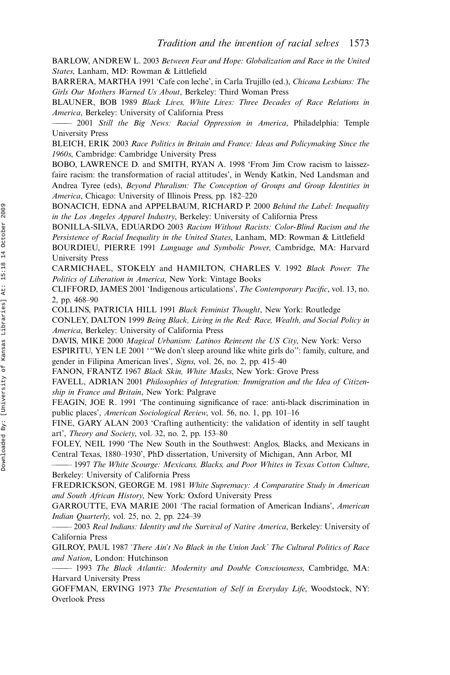BARLOW, ANDREW L. 2003 Between Fear and Hope: Globalization and Race in the United States, Lanham, MD: Rowman & Littlefield

BARRERA, MARTHA 1991 'Cafe con leche', in Carla Trujillo (ed.), Chicana Lesbians: The Girls Our Mothers Warned Us About, Berkeley: Third Woman Press

BLAUNER, BOB 1989 Black Lives, White Lives: Three Decades of Race Relations in America, Berkeley: University of California Press

- 2001 Still the Big News: Racial Oppression in America, Philadelphia: Temple University Press

BLEICH, ERIK 2003 Race Politics in Britain and France: Ideas and Policymaking Since the 1960s, Cambridge: Cambridge University Press

BOBO, LAWRENCE D. and SMITH, RYAN A. 1998 'From Jim Crow racism to laissezfaire racism: the transformation of racial attitudes', in Wendy Katkin, Ned Landsman and Andrea Tyree (eds), Beyond Pluralism: The Conception of Groups and Group Identities in America, Chicago: University of Illinois Press, pp. 182-220

BONACICH, EDNA and APPELBAUM, RICHARD P. 2000 Behind the Label: Inequality in the Los Angeles Apparel Industry, Berkeley: University of California Press

BONILLA-SILVA, EDUARDO 2003 Racism Without Racists: Color-Blind Racism and the Persistence of Racial Inequality in the United States, Lanham, MD: Rowman & Littlefield

BOURDIEU, PIERRE 1991 Language and Symbolic Power, Cambridge, MA: Harvard University Press

CARMICHAEL, STOKELY and HAMILTON, CHARLES V. 1992 Black Power: The Politics of Liberation in America, New York: Vintage Books

CLIFFORD, JAMES 2001 'Indigenous articulations', The Contemporary Pacific, vol. 13, no. 2, pp. 468-90

COLLINS, PATRICIA HILL 1991 Black Feminist Thought, New York: Routledge

CONLEY, DALTON 1999 Being Black, Living in the Red: Race, Wealth, and Social Policy in America, Berkeley: University of California Press

DAVIS, MIKE 2000 Magical Urbanism: Latinos Reinvent the US City, New York: Verso

ESPIRITU, YEN LE 2001 "We don't sleep around like white girls do": family, culture, and gender in Filipina American lives', Signs, vol. 26, no. 2, pp. 415–40

FANON, FRANTZ 1967 Black Skin, White Masks, New York: Grove Press

FAVELL, ADRIAN 2001 Philosophies of Integration: Immigration and the Idea of Citizenship in France and Britain, New York: Palgrave

FEAGIN, JOE R. 1991 'The continuing significance of race: anti-black discrimination in public places', American Sociological Review, vol. 56, no. 1, pp. 101-16

FINE, GARY ALAN 2003 'Crafting authenticity: the validation of identity in self taught art', Theory and Society, vol. 32, no. 2, pp.  $153-80$ 

FOLEY, NEIL 1990 'The New South in the Southwest: Anglos, Blacks, and Mexicans in Central Texas, 1880-1930', PhD dissertation, University of Michigan, Ann Arbor, MI

- 1997 The White Scourge: Mexicans, Blacks, and Poor Whites in Texas Cotton Culture, Berkeley: University of California Press

FREDRICKSON, GEORGE M. 1981 White Supremacy: A Comparative Study in American and South African History, New York: Oxford University Press

GARROUTTE, EVA MARIE 2001 'The racial formation of American Indians', American *Indian Quarterly, vol. 25, no. 2, pp. 224-39* 

- 2003 Real Indians: Identity and the Survival of Native America, Berkeley: University of California Press

GILROY, PAUL 1987 'There Ain't No Black in the Union Jack' The Cultural Politics of Race and Nation, London: Hutchinson

--- 1993 The Black Atlantic: Modernity and Double Consciousness, Cambridge, MA: Harvard University Press

GOFFMAN, ERVING 1973 The Presentation of Self in Everyday Life, Woodstock, NY: Overlook Press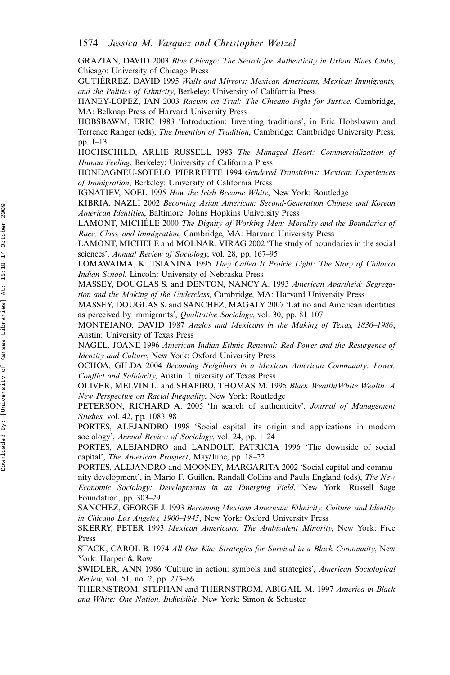GRAZIAN, DAVID 2003 Blue Chicago: The Search for Authenticity in Urban Blues Clubs, Chicago: University of Chicago Press

GUTIERREZ, DAVID 1995 Walls and Mirrors: Mexican Americans, Mexican Immigrants, and the Politics of Ethnicity, Berkeley: University of California Press

HANEY-LOPEZ, IAN 2003 Racism on Trial: The Chicano Fight for Justice, Cambridge, MA: Belknap Press of Harvard University Press

HOBSBAWM, ERIC 1983 'Introduction: Inventing traditions', in Eric Hobsbawm and Terrence Ranger (eds), The Invention of Tradition, Cambridge: Cambridge University Press, pp.  $1-13$ 

HOCHSCHILD, ARLIE RUSSELL 1983 The Managed Heart: Commercialization of Human Feeling, Berkeley: University of California Press

HONDAGNEU-SOTELO, PIERRETTE 1994 Gendered Transitions: Mexican Experiences of Immigration, Berkeley: University of California Press

IGNATIEV, NOEL 1995 How the Irish Became White, New York: Routledge

KIBRIA, NAZLI 2002 Becoming Asian American: Second-Generation Chinese and Korean American Identities, Baltimore: Johns Hopkins University Press

LAMONT, MICHELE 2000 The Dignity of Working Men: Morality and the Boundaries of Race, Class, and Immigration, Cambridge, MA: Harvard University Press

LAMONT, MICHELE and MOLNAR, VIRAG 2002 'The study of boundaries in the social sciences', Annual Review of Sociology, vol. 28, pp. 167–95

LOMAWAIMA, K. TSIANINA 1995 They Called It Prairie Light: The Story of Chilocco Indian School, Lincoln: University of Nebraska Press

MASSEY, DOUGLAS S. and DENTON, NANCY A. 1993 American Apartheid: Segregation and the Making of the Underclass, Cambridge, MA: Harvard University Press

MASSEY, DOUGLAS S. and SANCHEZ, MAGALY 2007 'Latino and American identities as perceived by immigrants', *Qualitative Sociology*, vol. 30, pp. 81–107

MONTEJANO, DAVID 1987 Anglos and Mexicans in the Making of Texas, 1836-1986, Austin: University of Texas Press

NAGEL, JOANE 1996 American Indian Ethnic Renewal: Red Power and the Resurgence of Identity and Culture, New York: Oxford University Press

OCHOA, GILDA 2004 Becoming Neighbors in a Mexican American Community: Power, Conflict and Solidarity, Austin: University of Texas Press

OLIVER, MELVIN L. and SHAPIRO, THOMAS M. 1995 Black Wealth/White Wealth: A New Perspective on Racial Inequality, New York: Routledge

PETERSON, RICHARD A. 2005 'In search of authenticity', Journal of Management Studies, vol. 42, pp. 1083-98

PORTES, ALEJANDRO 1998 'Social capital: its origin and applications in modern sociology', Annual Review of Sociology, vol. 24, pp. 1-24

PORTES, ALEJANDRO and LANDOLT, PATRICIA 1996 'The downside of social capital', The American Prospect, May/June, pp. 18-22

PORTES, ALEJANDRO and MOONEY, MARGARITA 2002 'Social capital and community development', in Mario F. Guillen, Randall Collins and Paula England (eds), The New Economic Sociology: Developments in an Emerging Field, New York: Russell Sage Foundation, pp. 303-29

SANCHEZ, GEORGE J. 1993 Becoming Mexican American: Ethnicity, Culture, and Identity in Chicano Los Angeles, 1900-1945, New York: Oxford University Press

SKERRY, PETER 1993 Mexican Americans: The Ambivalent Minority, New York: Free Press

STACK, CAROL B. 1974 All Our Kin: Strategies for Survival in a Black Community, New York: Harper & Row

SWIDLER, ANN 1986 'Culture in action: symbols and strategies', American Sociological *Review*, vol. 51, no. 2, pp.  $273-86$ 

THERNSTROM, STEPHAN and THERNSTROM, ABIGAIL M. 1997 America in Black and White: One Nation, Indivisible, New York: Simon & Schuster